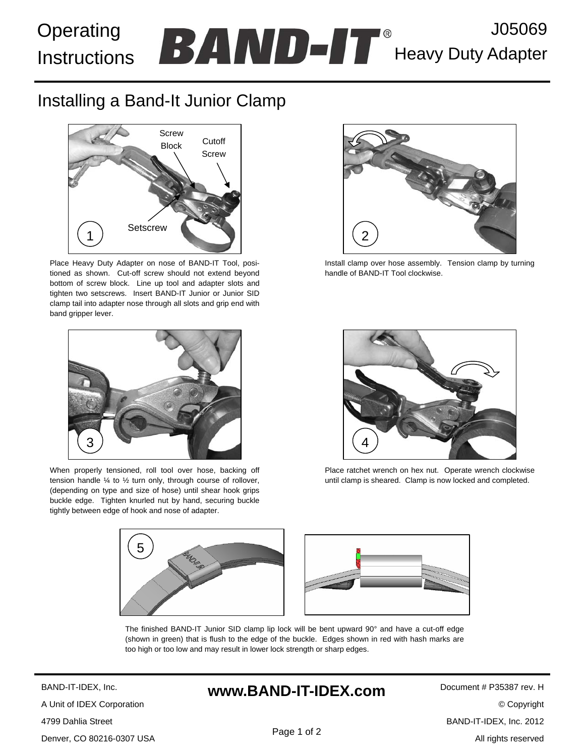#### J05069 Heavy Duty Adapter Operating **Instructions**

# Installing a Band-It Junior Clamp



Place Heavy Duty Adapter on nose of BAND-IT Tool, positioned as shown. Cut-off screw should not extend beyond bottom of screw block. Line up tool and adapter slots and tighten two setscrews. Insert BAND-IT Junior or Junior SID clamp tail into adapter nose through all slots and grip end with band gripper lever.



When properly tensioned, roll tool over hose, backing off tension handle ¼ to ½ turn only, through course of rollover, (depending on type and size of hose) until shear hook grips buckle edge. Tighten knurled nut by hand, securing buckle tightly between edge of hook and nose of adapter.



Install clamp over hose assembly. Tension clamp by turning handle of BAND-IT Tool clockwise.



Place ratchet wrench on hex nut. Operate wrench clockwise until clamp is sheared. Clamp is now locked and completed.



The finished BAND-IT Junior SID clamp lip lock will be bent upward 90° and have a cut-off edge (shown in green) that is flush to the edge of the buckle. Edges shown in red with hash marks are too high or too low and may result in lower lock strength or sharp edges.

BAND-IT-IDEX, Inc. A Unit of IDEX Corporation 4799 Dahlia Street Denver, CO 80216-0307 USA

## **www.BAND-IT-IDEX.com**

Document # P35387 rev. H © Copyright BAND-IT-IDEX, Inc. 2012 All rights reserved

Page 1 of 2